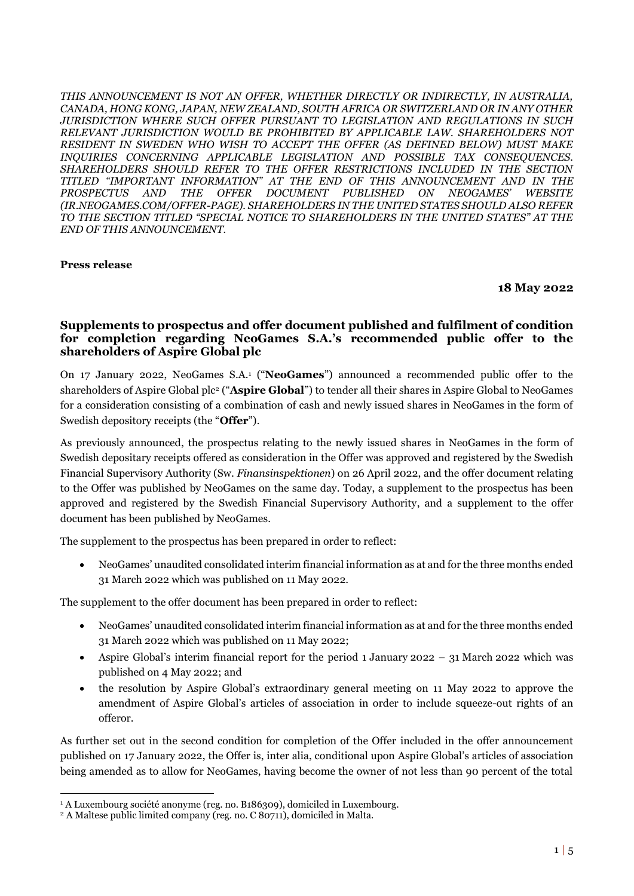*THIS ANNOUNCEMENT IS NOT AN OFFER, WHETHER DIRECTLY OR INDIRECTLY, IN AUSTRALIA, CANADA, HONG KONG, JAPAN, NEW ZEALAND, SOUTH AFRICA OR SWITZERLAND OR IN ANY OTHER JURISDICTION WHERE SUCH OFFER PURSUANT TO LEGISLATION AND REGULATIONS IN SUCH RELEVANT JURISDICTION WOULD BE PROHIBITED BY APPLICABLE LAW. SHAREHOLDERS NOT RESIDENT IN SWEDEN WHO WISH TO ACCEPT THE OFFER (AS DEFINED BELOW) MUST MAKE INQUIRIES CONCERNING APPLICABLE LEGISLATION AND POSSIBLE TAX CONSEQUENCES. SHAREHOLDERS SHOULD REFER TO THE OFFER RESTRICTIONS INCLUDED IN THE SECTION TITLED "IMPORTANT INFORMATION" AT THE END OF THIS ANNOUNCEMENT AND IN THE PROSPECTUS AND THE OFFER DOCUMENT PUBLISHED ON NEOGAMES' WEBSITE (IR.NEOGAMES.COM/OFFER-PAGE). SHAREHOLDERS IN THE UNITED STATES SHOULD ALSO REFER TO THE SECTION TITLED "SPECIAL NOTICE TO SHAREHOLDERS IN THE UNITED STATES" AT THE END OF THIS ANNOUNCEMENT.*

### **Press release**

#### **18 May 2022**

## **Supplements to prospectus and offer document published and fulfilment of condition for completion regarding NeoGames S.A.'s recommended public offer to the shareholders of Aspire Global plc**

On 17 January 2022, NeoGames S.A.<sup>1</sup> ("**NeoGames**") announced a recommended public offer to the shareholders of Aspire Global plc<sup>2</sup> ("**Aspire Global**") to tender all their shares in Aspire Global to NeoGames for a consideration consisting of a combination of cash and newly issued shares in NeoGames in the form of Swedish depository receipts (the "**Offer**").

As previously announced, the prospectus relating to the newly issued shares in NeoGames in the form of Swedish depositary receipts offered as consideration in the Offer was approved and registered by the Swedish Financial Supervisory Authority (Sw. *Finansinspektionen*) on 26 April 2022, and the offer document relating to the Offer was published by NeoGames on the same day. Today, a supplement to the prospectus has been approved and registered by the Swedish Financial Supervisory Authority, and a supplement to the offer document has been published by NeoGames.

The supplement to the prospectus has been prepared in order to reflect:

• NeoGames' unaudited consolidated interim financial information as at and for the three months ended 31 March 2022 which was published on 11 May 2022.

The supplement to the offer document has been prepared in order to reflect:

- NeoGames' unaudited consolidated interim financial information as at and for the three months ended 31 March 2022 which was published on 11 May 2022;
- Aspire Global's interim financial report for the period 1 January 2022 31 March 2022 which was published on 4 May 2022; and
- the resolution by Aspire Global's extraordinary general meeting on 11 May 2022 to approve the amendment of Aspire Global's articles of association in order to include squeeze-out rights of an offeror.

As further set out in the second condition for completion of the Offer included in the offer announcement published on 17 January 2022, the Offer is, inter alia, conditional upon Aspire Global's articles of association being amended as to allow for NeoGames, having become the owner of not less than 90 percent of the total

<sup>1</sup> <sup>1</sup> A Luxembourg société anonyme (reg. no. B186309), domiciled in Luxembourg.

<sup>2</sup> A Maltese public limited company (reg. no. C 80711), domiciled in Malta.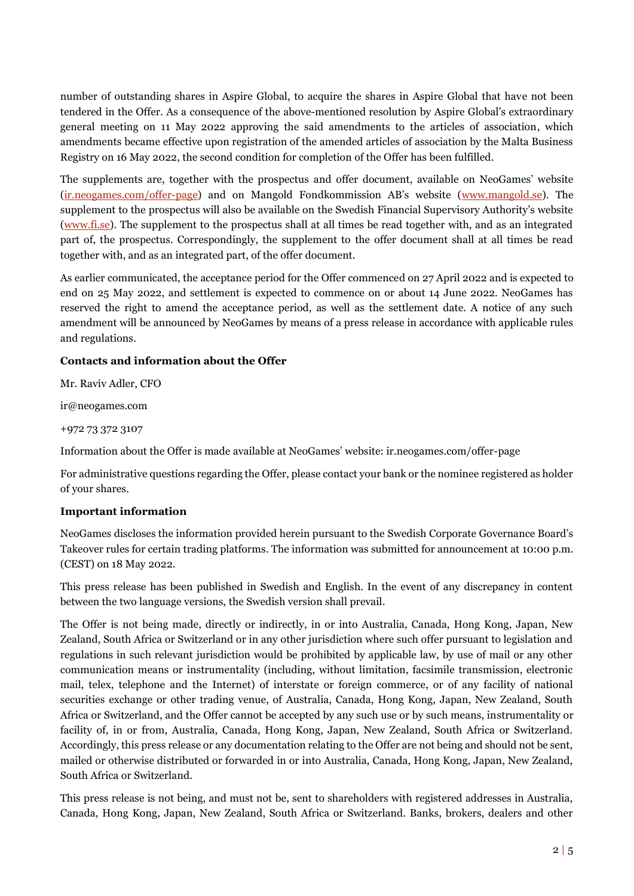number of outstanding shares in Aspire Global, to acquire the shares in Aspire Global that have not been tendered in the Offer. As a consequence of the above-mentioned resolution by Aspire Global's extraordinary general meeting on 11 May 2022 approving the said amendments to the articles of association, which amendments became effective upon registration of the amended articles of association by the Malta Business Registry on 16 May 2022, the second condition for completion of the Offer has been fulfilled.

The supplements are, together with the prospectus and offer document, available on NeoGames' website [\(ir.neogames.com/offer-page](https://ir.neogames.com/offer-page-disclaimer)) and on Mangold Fondkommission AB's website ([www.mangold.se\)](http://www.mangold.se/). The supplement to the prospectus will also be available on the Swedish Financial Supervisory Authority's website [\(www.fi.se\)](http://www.fi.se/). The supplement to the prospectus shall at all times be read together with, and as an integrated part of, the prospectus. Correspondingly, the supplement to the offer document shall at all times be read together with, and as an integrated part, of the offer document.

As earlier communicated, the acceptance period for the Offer commenced on 27 April 2022 and is expected to end on 25 May 2022, and settlement is expected to commence on or about 14 June 2022. NeoGames has reserved the right to amend the acceptance period, as well as the settlement date. A notice of any such amendment will be announced by NeoGames by means of a press release in accordance with applicable rules and regulations.

# **Contacts and information about the Offer**

Mr. Raviv Adler, CFO

ir@neogames.com

+972 73 372 3107

Information about the Offer is made available at NeoGames' website: ir.neogames.com/offer-page

For administrative questions regarding the Offer, please contact your bank or the nominee registered as holder of your shares.

### **Important information**

NeoGames discloses the information provided herein pursuant to the Swedish Corporate Governance Board's Takeover rules for certain trading platforms. The information was submitted for announcement at 10:00 p.m. (CEST) on 18 May 2022.

This press release has been published in Swedish and English. In the event of any discrepancy in content between the two language versions, the Swedish version shall prevail.

The Offer is not being made, directly or indirectly, in or into Australia, Canada, Hong Kong, Japan, New Zealand, South Africa or Switzerland or in any other jurisdiction where such offer pursuant to legislation and regulations in such relevant jurisdiction would be prohibited by applicable law, by use of mail or any other communication means or instrumentality (including, without limitation, facsimile transmission, electronic mail, telex, telephone and the Internet) of interstate or foreign commerce, or of any facility of national securities exchange or other trading venue, of Australia, Canada, Hong Kong, Japan, New Zealand, South Africa or Switzerland, and the Offer cannot be accepted by any such use or by such means, instrumentality or facility of, in or from, Australia, Canada, Hong Kong, Japan, New Zealand, South Africa or Switzerland. Accordingly, this press release or any documentation relating to the Offer are not being and should not be sent, mailed or otherwise distributed or forwarded in or into Australia, Canada, Hong Kong, Japan, New Zealand, South Africa or Switzerland.

This press release is not being, and must not be, sent to shareholders with registered addresses in Australia, Canada, Hong Kong, Japan, New Zealand, South Africa or Switzerland. Banks, brokers, dealers and other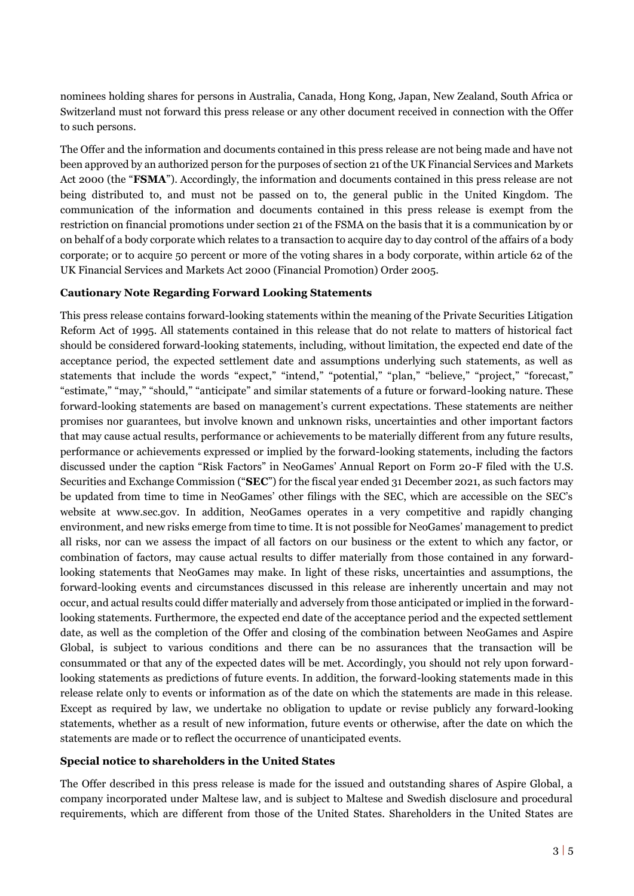nominees holding shares for persons in Australia, Canada, Hong Kong, Japan, New Zealand, South Africa or Switzerland must not forward this press release or any other document received in connection with the Offer to such persons.

The Offer and the information and documents contained in this press release are not being made and have not been approved by an authorized person for the purposes of section 21 of the UK Financial Services and Markets Act 2000 (the "**FSMA**"). Accordingly, the information and documents contained in this press release are not being distributed to, and must not be passed on to, the general public in the United Kingdom. The communication of the information and documents contained in this press release is exempt from the restriction on financial promotions under section 21 of the FSMA on the basis that it is a communication by or on behalf of a body corporate which relates to a transaction to acquire day to day control of the affairs of a body corporate; or to acquire 50 percent or more of the voting shares in a body corporate, within article 62 of the UK Financial Services and Markets Act 2000 (Financial Promotion) Order 2005.

### **Cautionary Note Regarding Forward Looking Statements**

This press release contains forward-looking statements within the meaning of the Private Securities Litigation Reform Act of 1995. All statements contained in this release that do not relate to matters of historical fact should be considered forward-looking statements, including, without limitation, the expected end date of the acceptance period, the expected settlement date and assumptions underlying such statements, as well as statements that include the words "expect," "intend," "potential," "plan," "believe," "project," "forecast," "estimate," "may," "should," "anticipate" and similar statements of a future or forward-looking nature. These forward-looking statements are based on management's current expectations. These statements are neither promises nor guarantees, but involve known and unknown risks, uncertainties and other important factors that may cause actual results, performance or achievements to be materially different from any future results, performance or achievements expressed or implied by the forward-looking statements, including the factors discussed under the caption "Risk Factors" in NeoGames' Annual Report on Form 20-F filed with the U.S. Securities and Exchange Commission ("**SEC**") for the fiscal year ended 31 December 2021, as such factors may be updated from time to time in NeoGames' other filings with the SEC, which are accessible on the SEC's website at www.sec.gov. In addition, NeoGames operates in a very competitive and rapidly changing environment, and new risks emerge from time to time. It is not possible for NeoGames' management to predict all risks, nor can we assess the impact of all factors on our business or the extent to which any factor, or combination of factors, may cause actual results to differ materially from those contained in any forwardlooking statements that NeoGames may make. In light of these risks, uncertainties and assumptions, the forward-looking events and circumstances discussed in this release are inherently uncertain and may not occur, and actual results could differ materially and adversely from those anticipated or implied in the forwardlooking statements. Furthermore, the expected end date of the acceptance period and the expected settlement date, as well as the completion of the Offer and closing of the combination between NeoGames and Aspire Global, is subject to various conditions and there can be no assurances that the transaction will be consummated or that any of the expected dates will be met. Accordingly, you should not rely upon forwardlooking statements as predictions of future events. In addition, the forward-looking statements made in this release relate only to events or information as of the date on which the statements are made in this release. Except as required by law, we undertake no obligation to update or revise publicly any forward-looking statements, whether as a result of new information, future events or otherwise, after the date on which the statements are made or to reflect the occurrence of unanticipated events.

### **Special notice to shareholders in the United States**

The Offer described in this press release is made for the issued and outstanding shares of Aspire Global, a company incorporated under Maltese law, and is subject to Maltese and Swedish disclosure and procedural requirements, which are different from those of the United States. Shareholders in the United States are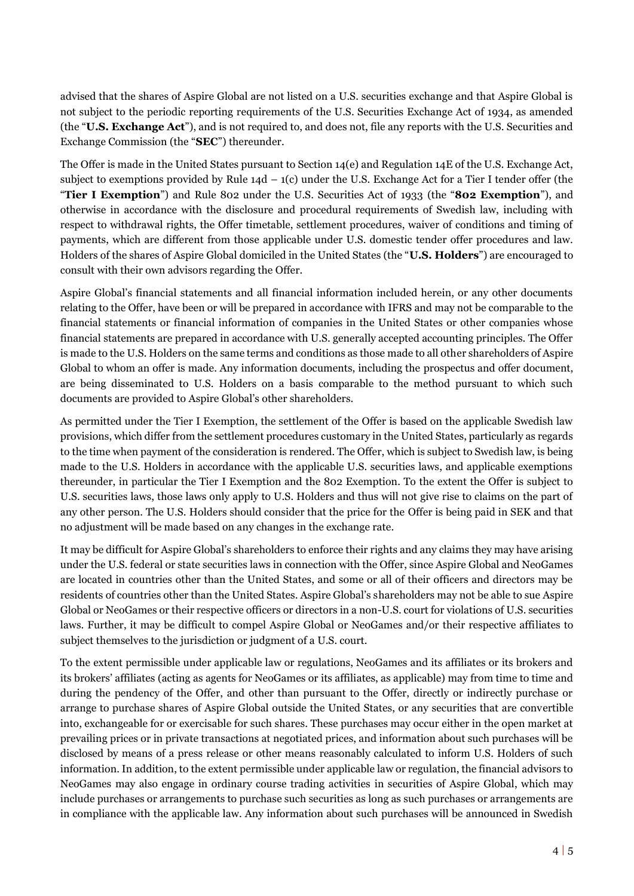advised that the shares of Aspire Global are not listed on a U.S. securities exchange and that Aspire Global is not subject to the periodic reporting requirements of the U.S. Securities Exchange Act of 1934, as amended (the "**U.S. Exchange Act**"), and is not required to, and does not, file any reports with the U.S. Securities and Exchange Commission (the "**SEC**") thereunder.

The Offer is made in the United States pursuant to Section 14(e) and Regulation 14E of the U.S. Exchange Act, subject to exemptions provided by Rule  $14d - 1(c)$  under the U.S. Exchange Act for a Tier I tender offer (the "**Tier I Exemption**") and Rule 802 under the U.S. Securities Act of 1933 (the "**802 Exemption**"), and otherwise in accordance with the disclosure and procedural requirements of Swedish law, including with respect to withdrawal rights, the Offer timetable, settlement procedures, waiver of conditions and timing of payments, which are different from those applicable under U.S. domestic tender offer procedures and law. Holders of the shares of Aspire Global domiciled in the United States (the "**U.S. Holders**") are encouraged to consult with their own advisors regarding the Offer.

Aspire Global's financial statements and all financial information included herein, or any other documents relating to the Offer, have been or will be prepared in accordance with IFRS and may not be comparable to the financial statements or financial information of companies in the United States or other companies whose financial statements are prepared in accordance with U.S. generally accepted accounting principles. The Offer is made to the U.S. Holders on the same terms and conditions as those made to all other shareholders of Aspire Global to whom an offer is made. Any information documents, including the prospectus and offer document, are being disseminated to U.S. Holders on a basis comparable to the method pursuant to which such documents are provided to Aspire Global's other shareholders.

As permitted under the Tier I Exemption, the settlement of the Offer is based on the applicable Swedish law provisions, which differ from the settlement procedures customary in the United States, particularly as regards to the time when payment of the consideration is rendered. The Offer, which is subject to Swedish law, is being made to the U.S. Holders in accordance with the applicable U.S. securities laws, and applicable exemptions thereunder, in particular the Tier I Exemption and the 802 Exemption. To the extent the Offer is subject to U.S. securities laws, those laws only apply to U.S. Holders and thus will not give rise to claims on the part of any other person. The U.S. Holders should consider that the price for the Offer is being paid in SEK and that no adjustment will be made based on any changes in the exchange rate.

It may be difficult for Aspire Global's shareholders to enforce their rights and any claims they may have arising under the U.S. federal or state securities laws in connection with the Offer, since Aspire Global and NeoGames are located in countries other than the United States, and some or all of their officers and directors may be residents of countries other than the United States. Aspire Global's shareholders may not be able to sue Aspire Global or NeoGames or their respective officers or directors in a non-U.S. court for violations of U.S. securities laws. Further, it may be difficult to compel Aspire Global or NeoGames and/or their respective affiliates to subject themselves to the jurisdiction or judgment of a U.S. court.

To the extent permissible under applicable law or regulations, NeoGames and its affiliates or its brokers and its brokers' affiliates (acting as agents for NeoGames or its affiliates, as applicable) may from time to time and during the pendency of the Offer, and other than pursuant to the Offer, directly or indirectly purchase or arrange to purchase shares of Aspire Global outside the United States, or any securities that are convertible into, exchangeable for or exercisable for such shares. These purchases may occur either in the open market at prevailing prices or in private transactions at negotiated prices, and information about such purchases will be disclosed by means of a press release or other means reasonably calculated to inform U.S. Holders of such information. In addition, to the extent permissible under applicable law or regulation, the financial advisors to NeoGames may also engage in ordinary course trading activities in securities of Aspire Global, which may include purchases or arrangements to purchase such securities as long as such purchases or arrangements are in compliance with the applicable law. Any information about such purchases will be announced in Swedish